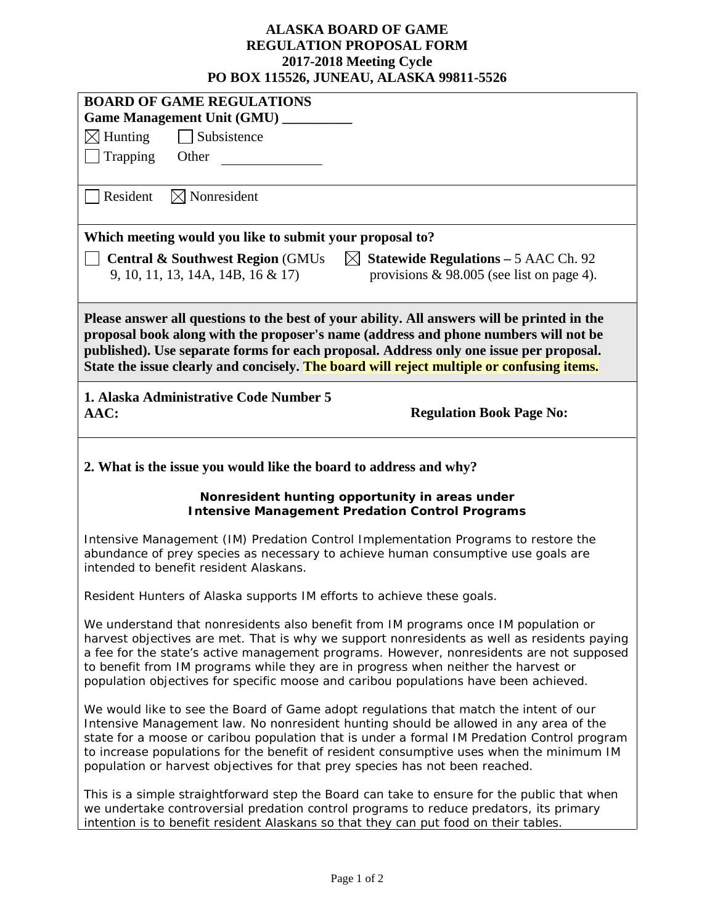## **ALASKA BOARD OF GAME REGULATION PROPOSAL FORM 2017-2018 Meeting Cycle PO BOX 115526, JUNEAU, ALASKA 99811-5526**

| I O DOA 113320, JUNEAU, ALABINA 77011-3320                                                                                                                                                                                                                                                                                                                                                                                                                   |  |  |  |  |
|--------------------------------------------------------------------------------------------------------------------------------------------------------------------------------------------------------------------------------------------------------------------------------------------------------------------------------------------------------------------------------------------------------------------------------------------------------------|--|--|--|--|
| <b>BOARD OF GAME REGULATIONS</b>                                                                                                                                                                                                                                                                                                                                                                                                                             |  |  |  |  |
| Game Management Unit (GMU) _____                                                                                                                                                                                                                                                                                                                                                                                                                             |  |  |  |  |
| $\boxtimes$ Hunting<br>Subsistence                                                                                                                                                                                                                                                                                                                                                                                                                           |  |  |  |  |
| Trapping<br>Other                                                                                                                                                                                                                                                                                                                                                                                                                                            |  |  |  |  |
| Resident<br>$\boxtimes$ Nonresident                                                                                                                                                                                                                                                                                                                                                                                                                          |  |  |  |  |
| Which meeting would you like to submit your proposal to?                                                                                                                                                                                                                                                                                                                                                                                                     |  |  |  |  |
| <b>Central &amp; Southwest Region (GMUs)</b><br>$\boxtimes$ Statewide Regulations – 5 AAC Ch. 92                                                                                                                                                                                                                                                                                                                                                             |  |  |  |  |
| provisions $\&$ 98.005 (see list on page 4).<br>9, 10, 11, 13, 14A, 14B, 16 & 17                                                                                                                                                                                                                                                                                                                                                                             |  |  |  |  |
| Please answer all questions to the best of your ability. All answers will be printed in the<br>proposal book along with the proposer's name (address and phone numbers will not be<br>published). Use separate forms for each proposal. Address only one issue per proposal.<br>State the issue clearly and concisely. The board will reject multiple or confusing items.                                                                                    |  |  |  |  |
| 1. Alaska Administrative Code Number 5<br>AAC:<br><b>Regulation Book Page No:</b>                                                                                                                                                                                                                                                                                                                                                                            |  |  |  |  |
| 2. What is the issue you would like the board to address and why?                                                                                                                                                                                                                                                                                                                                                                                            |  |  |  |  |
| Nonresident hunting opportunity in areas under<br><b>Intensive Management Predation Control Programs</b>                                                                                                                                                                                                                                                                                                                                                     |  |  |  |  |
| Intensive Management (IM) Predation Control Implementation Programs to restore the<br>abundance of prey species as necessary to achieve human consumptive use goals are<br>intended to benefit resident Alaskans.                                                                                                                                                                                                                                            |  |  |  |  |
| Resident Hunters of Alaska supports IM efforts to achieve these goals.                                                                                                                                                                                                                                                                                                                                                                                       |  |  |  |  |
| We understand that nonresidents also benefit from IM programs once IM population or<br>harvest objectives are met. That is why we support nonresidents as well as residents paying<br>a fee for the state's active management programs. However, nonresidents are not supposed<br>to benefit from IM programs while they are in progress when neither the harvest or<br>population objectives for specific moose and caribou populations have been achieved. |  |  |  |  |
| We would like to see the Board of Game adopt regulations that match the intent of our<br>Intensive Management law. No nonresident hunting should be allowed in any area of the<br>state for a moose or caribou population that is under a formal IM Predation Control program<br>to increase populations for the benefit of resident consumptive uses when the minimum IM<br>population or harvest objectives for that prey species has not been reached.    |  |  |  |  |
| This is a simple straightforward step the Board can take to ensure for the public that when<br>we undertake controversial predation control programs to reduce predators, its primary<br>intention is to benefit resident Alaskans so that they can put food on their tables.                                                                                                                                                                                |  |  |  |  |